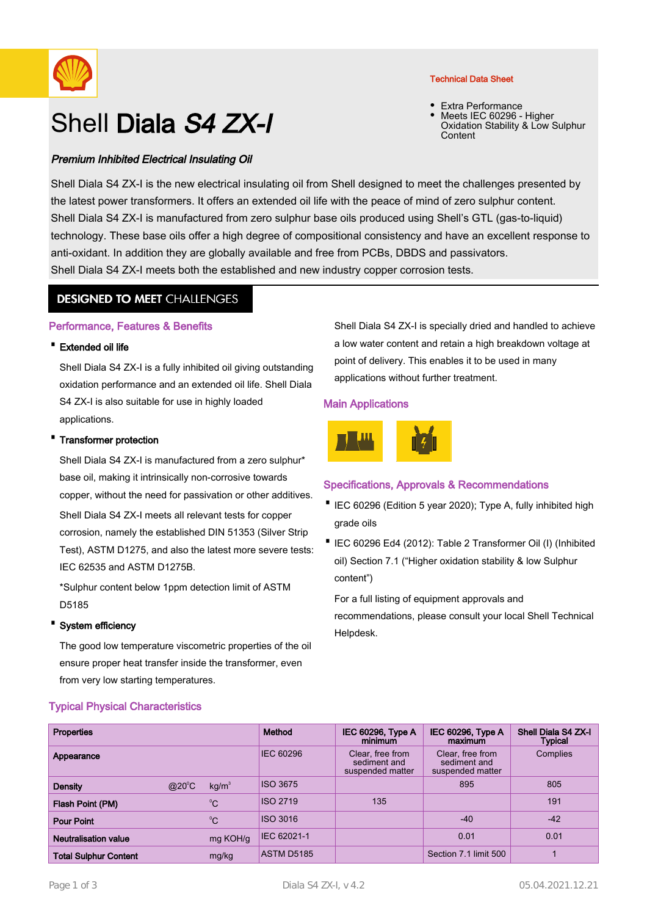

# Shell Diala S4 ZX-I

## Premium Inhibited Electrical Insulating Oil

#### Technical Data Sheet

• Extra Performance Meets IEC 60296 - Higher Oxidation Stability & Low Sulphur Content •

Shell Diala S4 ZX-I is the new electrical insulating oil from Shell designed to meet the challenges presented by the latest power transformers. It offers an extended oil life with the peace of mind of zero sulphur content. Shell Diala S4 ZX-I is manufactured from zero sulphur base oils produced using Shell's GTL (gas-to-liquid) technology. These base oils offer a high degree of compositional consistency and have an excellent response to anti-oxidant. In addition they are globally available and free from PCBs, DBDS and passivators. Shell Diala S4 ZX-I meets both the established and new industry copper corrosion tests.

## **DESIGNED TO MEET CHALLENGES**

### Performance, Features & Benefits

#### · Extended oil life

Shell Diala S4 ZX-I is a fully inhibited oil giving outstanding oxidation performance and an extended oil life. Shell Diala S4 ZX-I is also suitable for use in highly loaded applications.

#### **Transformer protection**

Shell Diala S4 ZX-I is manufactured from a zero sulphur\* base oil, making it intrinsically non-corrosive towards copper, without the need for passivation or other additives. Shell Diala S4 ZX-I meets all relevant tests for copper corrosion, namely the established DIN 51353 (Silver Strip Test), ASTM D1275, and also the latest more severe tests: IEC 62535 and ASTM D1275B.

\*Sulphur content below 1ppm detection limit of ASTM D5185

#### · System efficiency

The good low temperature viscometric properties of the oil ensure proper heat transfer inside the transformer, even from very low starting temperatures.

Typical Physical Characteristics

Shell Diala S4 ZX-I is specially dried and handled to achieve a low water content and retain a high breakdown voltage at point of delivery. This enables it to be used in many applications without further treatment.

#### Main Applications



## Specifications, Approvals & Recommendations

- IEC 60296 (Edition 5 year 2020); Type A, fully inhibited high grade oils
- IEC 60296 Ed4 (2012): Table 2 Transformer Oil (I) (Inhibited oil) Section 7.1 ("Higher oxidation stability & low Sulphur content")

For a full listing of equipment approvals and recommendations, please consult your local Shell Technical Helpdesk.

| <b>Properties</b>            |                |                   | Method           | <b>IEC 60296, Type A</b><br>minimum                  | <b>IEC 60296, Type A</b><br>maximum                  | Shell Diala S4 ZX-I<br>Typical |
|------------------------------|----------------|-------------------|------------------|------------------------------------------------------|------------------------------------------------------|--------------------------------|
| Appearance                   |                |                   | <b>IEC 60296</b> | Clear, free from<br>sediment and<br>suspended matter | Clear, free from<br>sediment and<br>suspended matter | Complies                       |
| <b>Density</b>               | $@20^{\circ}C$ | kg/m <sup>3</sup> | ISO 3675         |                                                      | 895                                                  | 805                            |
| Flash Point (PM)             |                | $^{\circ}C$       | <b>ISO 2719</b>  | 135                                                  |                                                      | 191                            |
| <b>Pour Point</b>            |                | $^{\circ}$ C      | ISO 3016         |                                                      | $-40$                                                | $-42$                          |
| Neutralisation value         |                | mg KOH/g          | IEC 62021-1      |                                                      | 0.01                                                 | 0.01                           |
| <b>Total Sulphur Content</b> |                | mg/kg             | ASTM D5185       |                                                      | Section 7.1 limit 500                                |                                |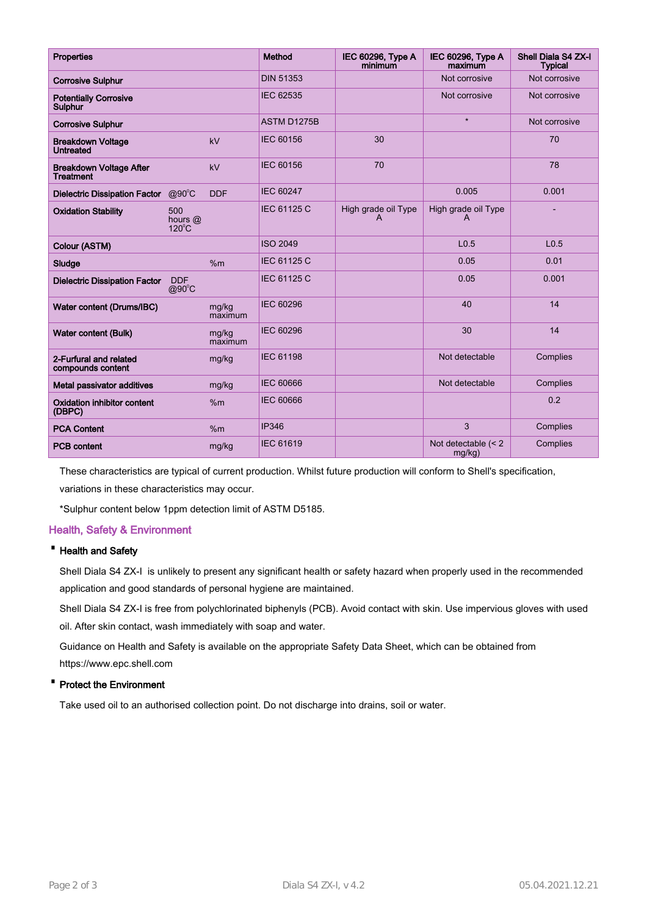| <b>Properties</b>                                  |                                   |                  | Method           | IEC 60296, Type A<br>minimum | IEC 60296, Type A<br>maximum     | Shell Diala S4 ZX-I<br><b>Typical</b> |
|----------------------------------------------------|-----------------------------------|------------------|------------------|------------------------------|----------------------------------|---------------------------------------|
| <b>Corrosive Sulphur</b>                           |                                   |                  | <b>DIN 51353</b> |                              | Not corrosive                    | Not corrosive                         |
| <b>Potentially Corrosive</b><br>Sulphur            |                                   |                  | <b>IEC 62535</b> |                              | Not corrosive                    | Not corrosive                         |
| <b>Corrosive Sulphur</b>                           |                                   |                  | ASTM D1275B      |                              | $\star$                          | Not corrosive                         |
| <b>Breakdown Voltage</b><br><b>Untreated</b>       |                                   | kV               | <b>IEC 60156</b> | 30                           |                                  | 70                                    |
| <b>Breakdown Voltage After</b><br><b>Treatment</b> |                                   | kV               | <b>IEC 60156</b> | 70                           |                                  | 78                                    |
| <b>Dielectric Dissipation Factor</b>               | $@90^{\circ}C$                    | <b>DDF</b>       | <b>IEC 60247</b> |                              | 0.005                            | 0.001                                 |
| <b>Oxidation Stability</b>                         | 500<br>hours @<br>$120^{\circ}$ C |                  | IEC 61125 C      | High grade oil Type<br>A     | High grade oil Type<br>А         |                                       |
| Colour (ASTM)                                      |                                   |                  | <b>ISO 2049</b>  |                              | L <sub>0.5</sub>                 | L <sub>0.5</sub>                      |
| Sludge                                             |                                   | %m               | IEC 61125 C      |                              | 0.05                             | 0.01                                  |
| <b>Dielectric Dissipation Factor</b>               | <b>DDF</b><br>$@90^{\circ}C$      |                  | IEC 61125 C      |                              | 0.05                             | 0.001                                 |
| Water content (Drums/IBC)                          |                                   | mg/kg<br>maximum | <b>IEC 60296</b> |                              | 40                               | 14                                    |
| <b>Water content (Bulk)</b>                        |                                   | mg/kg<br>maximum | <b>IEC 60296</b> |                              | 30                               | 14                                    |
| 2-Furfural and related<br>compounds content        |                                   | mg/kg            | <b>IEC 61198</b> |                              | Not detectable                   | Complies                              |
| Metal passivator additives                         |                                   | mg/kg            | <b>IEC 60666</b> |                              | Not detectable                   | Complies                              |
| <b>Oxidation inhibitor content</b><br>(DBPC)       |                                   | %m               | <b>IEC 60666</b> |                              |                                  | 0.2                                   |
| <b>PCA Content</b>                                 |                                   | %m               | <b>IP346</b>     |                              | 3                                | Complies                              |
| <b>PCB content</b>                                 |                                   | mg/kg            | <b>IEC 61619</b> |                              | Not detectable (< 2<br>$mg/kg$ ) | Complies                              |

These characteristics are typical of current production. Whilst future production will conform to Shell's specification, variations in these characteristics may occur.

\*Sulphur content below 1ppm detection limit of ASTM D5185.

## Health, Safety & Environment

## · Health and Safety

Shell Diala S4 ZX-I is unlikely to present any significant health or safety hazard when properly used in the recommended application and good standards of personal hygiene are maintained.

Shell Diala S4 ZX-I is free from polychlorinated biphenyls (PCB). Avoid contact with skin. Use impervious gloves with used oil. After skin contact, wash immediately with soap and water.

Guidance on Health and Safety is available on the appropriate Safety Data Sheet, which can be obtained from https://www.epc.shell.com

#### · Protect the Environment

Take used oil to an authorised collection point. Do not discharge into drains, soil or water.